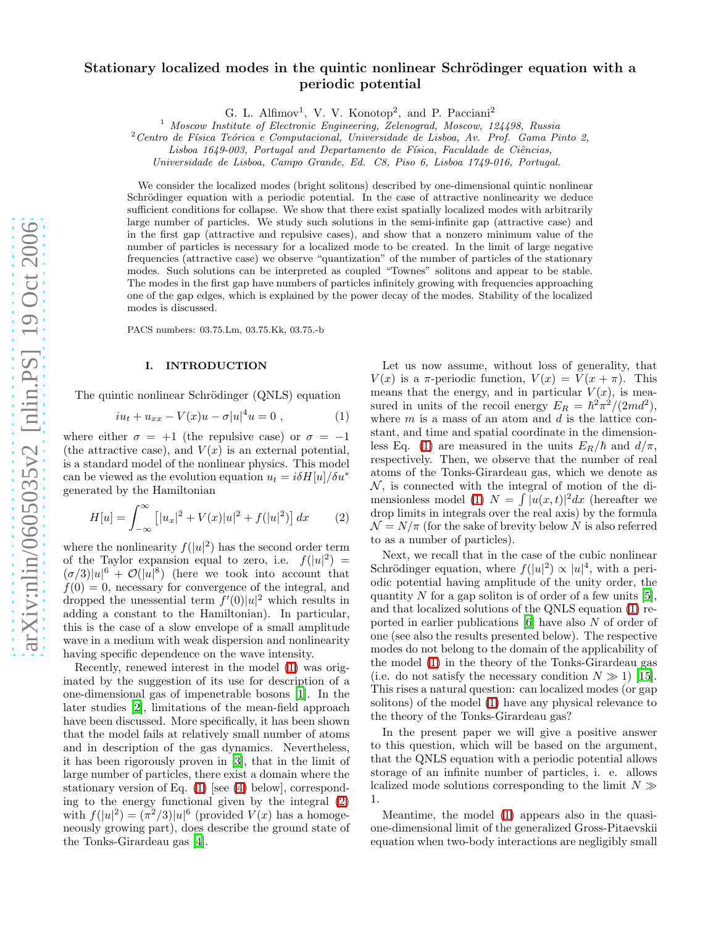# Stationary localized modes in the quintic nonlinear Schrödinger equation with a periodic potential

G. L. Alfimov<sup>1</sup>, V. V. Konotop<sup>2</sup>, and P. Pacciani<sup>2</sup>

<sup>1</sup> *Moscow Institute of Electronic Engineering, Zelenograd, Moscow, 124498, Russia*

<sup>2</sup> Centro de Física Teórica e Computacional, Universidade de Lisboa, Av. Prof. Gama Pinto 2,

Lisboa 1649-003, Portugal and Departamento de Física, Faculdade de Ciências,

*Universidade de Lisboa, Campo Grande, Ed. C8, Piso 6, Lisboa 1749-016, Portugal.*

We consider the localized modes (bright solitons) described by one-dimensional quintic nonlinear Schrödinger equation with a periodic potential. In the case of attractive nonlinearity we deduce sufficient conditions for collapse. We show that there exist spatially localized modes with arbitrarily large number of particles. We study such solutions in the semi-infinite gap (attractive case) and in the first gap (attractive and repulsive cases), and show that a nonzero minimum value of the number of particles is necessary for a localized mode to be created. In the limit of large negative frequencies (attractive case) we observe "quantization" of the number of particles of the stationary modes. Such solutions can be interpreted as coupled "Townes" solitons and appear to be stable. The modes in the first gap have numbers of particles infinitely growing with frequencies approaching one of the gap edges, which is explained by the power decay of the modes. Stability of the localized modes is discussed.

PACS numbers: 03.75.Lm, 03.75.Kk, 03.75.-b

# I. INTRODUCTION

The quintic nonlinear Schrödinger (QNLS) equation

$$
iu_t + u_{xx} - V(x)u - \sigma |u|^4 u = 0 , \qquad (1)
$$

<span id="page-0-0"></span>where either  $\sigma = +1$  (the repulsive case) or  $\sigma = -1$ (the attractive case), and  $V(x)$  is an external potential, is a standard model of the nonlinear physics. This model can be viewed as the evolution equation  $u_t = i\delta H[u]/\delta u^*$ generated by the Hamiltonian

$$
H[u] = \int_{-\infty}^{\infty} \left[ |u_x|^2 + V(x)|u|^2 + f(|u|^2) \right] dx \tag{2}
$$

<span id="page-0-1"></span>where the nonlinearity  $f(|u|^2)$  has the second order term of the Taylor expansion equal to zero, i.e.  $f(|u|^2) =$  $(\sigma/3)|u|^6 + \mathcal{O}(|u|^8)$  (here we took into account that  $f(0) = 0$ , necessary for convergence of the integral, and dropped the unessential term  $f'(0)|u|^2$  which results in adding a constant to the Hamiltonian). In particular, this is the case of a slow envelope of a small amplitude wave in a medium with weak dispersion and nonlinearity having specific dependence on the wave intensity.

Recently, renewed interest in the model [\(1\)](#page-0-0) was originated by the suggestion of its use for description of a one-dimensional gas of impenetrable bosons [\[1\]](#page-6-0). In the later studies [\[2\]](#page-6-1), limitations of the mean-field approach have been discussed. More specifically, it has been shown that the model fails at relatively small number of atoms and in description of the gas dynamics. Nevertheless, it has been rigorously proven in [\[3\]](#page-6-2), that in the limit of large number of particles, there exist a domain where the stationary version of Eq. [\(1\)](#page-0-0) [see [\(4\)](#page-1-0) below], corresponding to the energy functional given by the integral [\(2\)](#page-0-1) with  $f(|u|^2) = (\pi^2/3)|u|^6$  (provided  $V(x)$  has a homogeneously growing part), does describe the ground state of the Tonks-Girardeau gas [\[4\]](#page-6-3).

Let us now assume, without loss of generality, that  $V(x)$  is a  $\pi$ -periodic function,  $V(x) = V(x + \pi)$ . This means that the energy, and in particular  $V(x)$ , is measured in units of the recoil energy  $E_R = \hbar^2 \pi^2/(2md^2)$ , where  $m$  is a mass of an atom and  $d$  is the lattice constant, and time and spatial coordinate in the dimension-less Eq. [\(1\)](#page-0-0) are measured in the units  $E_R/\hbar$  and  $d/\pi$ , respectively. Then, we observe that the number of real atoms of the Tonks-Girardeau gas, which we denote as  $\mathcal N$ , is connected with the integral of motion of the di-mensionless model [\(1\)](#page-0-0)  $N = \int |u(x, t)|^2 dx$  (hereafter we drop limits in integrals over the real axis) by the formula  $\mathcal{N} = N/\pi$  (for the sake of brevity below N is also referred to as a number of particles).

Next, we recall that in the case of the cubic nonlinear Schrödinger equation, where  $f(|u|^2) \propto |u|^4$ , with a periodic potential having amplitude of the unity order, the quantity N for a gap soliton is of order of a few units  $[5]$ , and that localized solutions of the QNLS equation [\(1\)](#page-0-0) reported in earlier publications [\[6\]](#page-6-5) have also N of order of one (see also the results presented below). The respective modes do not belong to the domain of the applicability of the model [\(1\)](#page-0-0) in the theory of the Tonks-Girardeau gas (i.e. do not satisfy the necessary condition  $N \gg 1$ ) [\[15\]](#page-6-6). This rises a natural question: can localized modes (or gap solitons) of the model [\(1\)](#page-0-0) have any physical relevance to the theory of the Tonks-Girardeau gas?

In the present paper we will give a positive answer to this question, which will be based on the argument, that the QNLS equation with a periodic potential allows storage of an infinite number of particles, i. e. allows lcalized mode solutions corresponding to the limit  $N \gg$ 1.

Meantime, the model [\(1\)](#page-0-0) appears also in the quasione-dimensional limit of the generalized Gross-Pitaevskii equation when two-body interactions are negligibly small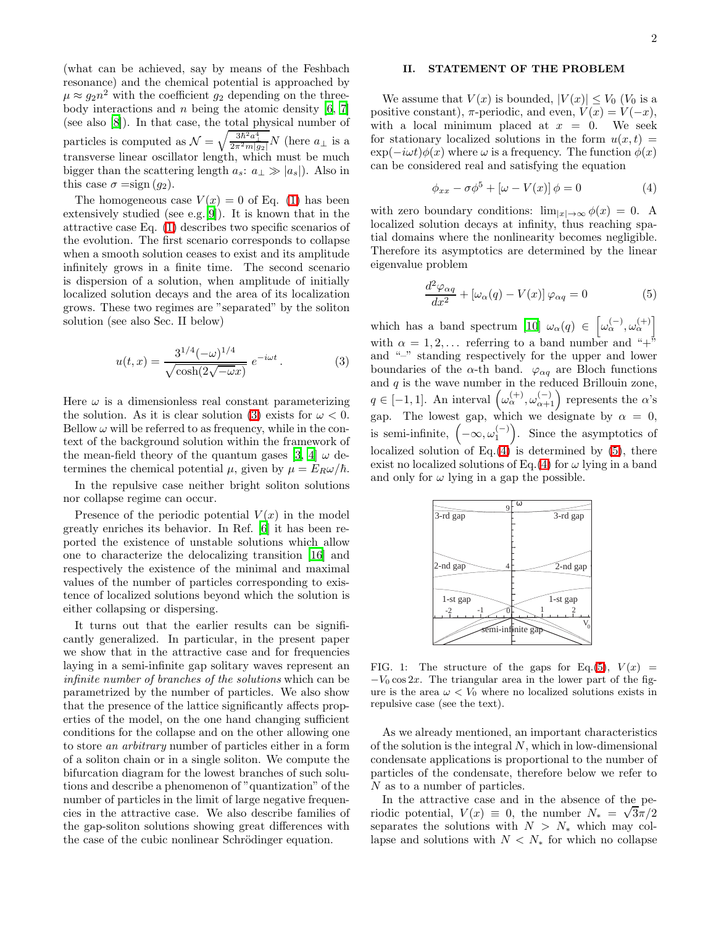(what can be achieved, say by means of the Feshbach resonance) and the chemical potential is approached by  $\mu \approx g_2 n^2$  with the coefficient  $g_2$  depending on the threebody interactions and  $n$  being the atomic density  $[6, 7]$  $[6, 7]$  $[6, 7]$ (see also [\[8\]](#page-6-8)). In that case, the total physical number of particles is computed as  $\mathcal{N} = \sqrt{\frac{3\hbar^2 a_\perp^4}{2\pi^2 m|g_2|}} N$  (here  $a_\perp$  is a transverse linear oscillator length, which must be much bigger than the scattering length  $a_s$ :  $a_\perp \gg |a_s|$ ). Also in this case  $\sigma = \text{sign}(g_2)$ .

The homogeneous case  $V(x) = 0$  of Eq. [\(1\)](#page-0-0) has been extensively studied (see e.g.[\[9\]](#page-6-9)). It is known that in the attractive case Eq. [\(1\)](#page-0-0) describes two specific scenarios of the evolution. The first scenario corresponds to collapse when a smooth solution ceases to exist and its amplitude infinitely grows in a finite time. The second scenario is dispersion of a solution, when amplitude of initially localized solution decays and the area of its localization grows. These two regimes are "separated" by the soliton solution (see also Sec. II below)

$$
u(t,x) = \frac{3^{1/4}(-\omega)^{1/4}}{\sqrt{\cosh(2\sqrt{-\omega}x)}} e^{-i\omega t}.
$$
 (3)

<span id="page-1-1"></span>Here  $\omega$  is a dimensionless real constant parameterizing the solution. As it is clear solution [\(3\)](#page-1-1) exists for  $\omega < 0$ . Bellow  $\omega$  will be referred to as frequency, while in the context of the background solution within the framework of the mean-field theory of the quantum gases [\[3,](#page-6-2) [4](#page-6-3)]  $\omega$  determines the chemical potential  $\mu$ , given by  $\mu = E_R \omega / \hbar$ .

In the repulsive case neither bright soliton solutions nor collapse regime can occur.

Presence of the periodic potential  $V(x)$  in the model greatly enriches its behavior. In Ref. [\[6](#page-6-5)] it has been reported the existence of unstable solutions which allow one to characterize the delocalizing transition [\[16\]](#page-6-10) and respectively the existence of the minimal and maximal values of the number of particles corresponding to existence of localized solutions beyond which the solution is either collapsing or dispersing.

It turns out that the earlier results can be significantly generalized. In particular, in the present paper we show that in the attractive case and for frequencies laying in a semi-infinite gap solitary waves represent an infinite number of branches of the solutions which can be parametrized by the number of particles. We also show that the presence of the lattice significantly affects properties of the model, on the one hand changing sufficient conditions for the collapse and on the other allowing one to store an arbitrary number of particles either in a form of a soliton chain or in a single soliton. We compute the bifurcation diagram for the lowest branches of such solutions and describe a phenomenon of "quantization" of the number of particles in the limit of large negative frequencies in the attractive case. We also describe families of the gap-soliton solutions showing great differences with the case of the cubic nonlinear Schrödinger equation.

# II. STATEMENT OF THE PROBLEM

We assume that  $V(x)$  is bounded,  $|V(x)| \leq V_0$  ( $V_0$  is a positive constant),  $\pi$ -periodic, and even,  $V(x) = V(-x)$ , with a local minimum placed at  $x = 0$ . We seek for stationary localized solutions in the form  $u(x, t) =$  $\exp(-i\omega t)\phi(x)$  where  $\omega$  is a frequency. The function  $\phi(x)$ can be considered real and satisfying the equation

$$
\phi_{xx} - \sigma \phi^5 + [\omega - V(x)] \phi = 0 \tag{4}
$$

<span id="page-1-0"></span>with zero boundary conditions:  $\lim_{|x|\to\infty} \phi(x) = 0$ . A localized solution decays at infinity, thus reaching spatial domains where the nonlinearity becomes negligible. Therefore its asymptotics are determined by the linear eigenvalue problem

$$
\frac{d^2\varphi_{\alpha q}}{dx^2} + [\omega_{\alpha}(q) - V(x)]\varphi_{\alpha q} = 0 \tag{5}
$$

<span id="page-1-2"></span>which has a band spectrum [\[10](#page-6-11)]  $\omega_{\alpha}(q) \in \left[\omega_{\alpha}^{(-)}, \omega_{\alpha}^{(+)}\right]$ with  $\alpha = 1, 2, \ldots$  referring to a band number and "+" and "–" standing respectively for the upper and lower boundaries of the  $\alpha$ -th band.  $\varphi_{\alpha q}$  are Bloch functions and  $q$  is the wave number in the reduced Brillouin zone,  $q \in [-1,1]$ . An interval  $(\omega_{\alpha}^{(+)}, \omega_{\alpha+1}^{(-)})$  represents the  $\alpha$ 's gap. The lowest gap, which we designate by  $\alpha = 0$ , is semi-infinite,  $(-\infty, \omega_1^{(-)})$ . Since the asymptotics of localized solution of Eq. $(4)$  is determined by  $(5)$ , there exist no localized solutions of Eq.[\(4\)](#page-1-0) for  $\omega$  lying in a band and only for  $\omega$  lying in a gap the possible.



<span id="page-1-3"></span>FIG. 1: The structure of the gaps for Eq.[\(5\)](#page-1-2),  $V(x)$  =  $-V_0 \cos 2x$ . The triangular area in the lower part of the figure is the area  $\omega < V_0$  where no localized solutions exists in repulsive case (see the text).

As we already mentioned, an important characteristics of the solution is the integral  $N$ , which in low-dimensional condensate applications is proportional to the number of particles of the condensate, therefore below we refer to N as to a number of particles.

In the attractive case and in the absence of the periodic potential,  $V(x) \equiv 0$ , the number  $N_* = \sqrt{3\pi/2}$ separates the solutions with  $N > N_*$  which may collapse and solutions with  $N < N_*$  for which no collapse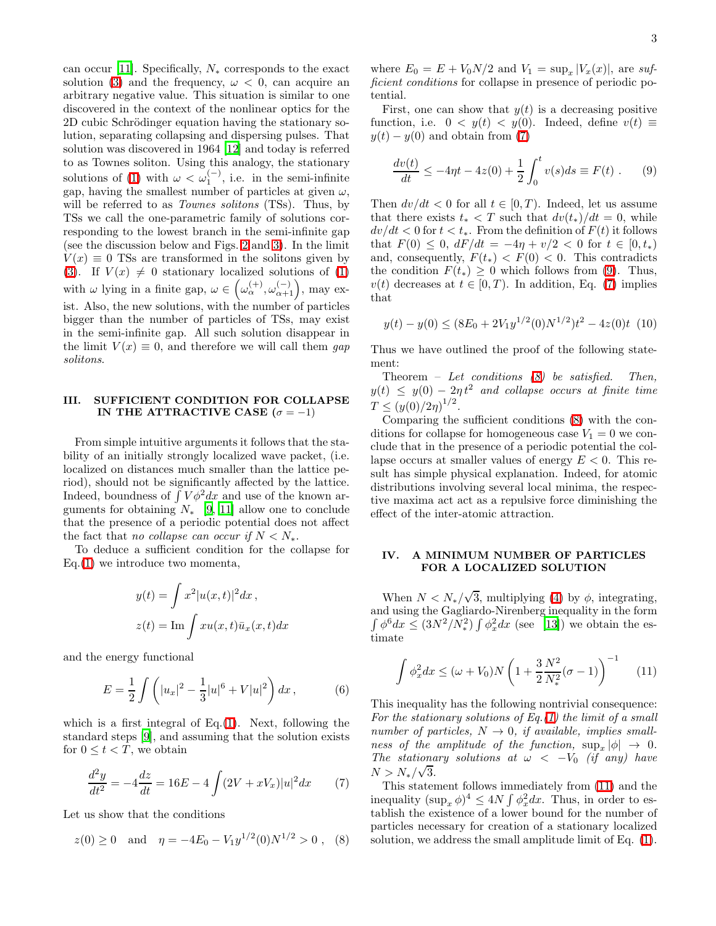can occur [\[11\]](#page-6-12). Specifically,  $N_*$  corresponds to the exact solution [\(3\)](#page-1-1) and the frequency,  $\omega < 0$ , can acquire an arbitrary negative value. This situation is similar to one discovered in the context of the nonlinear optics for the 2D cubic Schrödinger equation having the stationary solution, separating collapsing and dispersing pulses. That solution was discovered in 1964 [\[12\]](#page-6-13) and today is referred to as Townes soliton. Using this analogy, the stationary solutions of [\(1\)](#page-0-0) with  $\omega < \omega_1^{(-)}$ , i.e. in the semi-infinite gap, having the smallest number of particles at given  $\omega$ , will be referred to as *Townes solitons* (TSs). Thus, by TSs we call the one-parametric family of solutions corresponding to the lowest branch in the semi-infinite gap (see the discussion below and Figs. [2](#page-3-0) and [3\)](#page-4-0). In the limit  $V(x) \equiv 0$  TSs are transformed in the solitons given by [\(3\)](#page-1-1). If  $V(x) \neq 0$  stationary localized solutions of [\(1\)](#page-0-0) with  $\omega$  lying in a finite gap,  $\omega \in (\omega_{\alpha}^{(+)}, \omega_{\alpha+1}^{(-)})$ , may exist. Also, the new solutions, with the number of particles bigger than the number of particles of TSs, may exist in the semi-infinite gap. All such solution disappear in the limit  $V(x) \equiv 0$ , and therefore we will call them gap solitons.

# III. SUFFICIENT CONDITION FOR COLLAPSE IN THE ATTRACTIVE CASE ( $\sigma = -1$ )

From simple intuitive arguments it follows that the stability of an initially strongly localized wave packet, (i.e. localized on distances much smaller than the lattice period), should not be significantly affected by the lattice. Indeed, boundness of  $\int V \phi^2 dx$  and use of the known arguments for obtaining  $N_*$  [\[9,](#page-6-9) [11\]](#page-6-12) allow one to conclude that the presence of a periodic potential does not affect the fact that no collapse can occur if  $N < N_*$ .

To deduce a sufficient condition for the collapse for Eq.[\(1\)](#page-0-0) we introduce two momenta,

$$
y(t) = \int x^2 |u(x,t)|^2 dx,
$$
  

$$
z(t) = \text{Im} \int xu(x,t)\bar{u}_x(x,t)dx
$$

and the energy functional

$$
E = \frac{1}{2} \int \left( |u_x|^2 - \frac{1}{3} |u|^6 + V |u|^2 \right) dx, \tag{6}
$$

which is a first integral of Eq. $(1)$ . Next, following the standard steps [\[9](#page-6-9)], and assuming that the solution exists for  $0 \leq t < T$ , we obtain

$$
\frac{d^2y}{dt^2} = -4\frac{dz}{dt} = 16E - 4\int (2V + xV_x)|u|^2 dx \tag{7}
$$

<span id="page-2-2"></span><span id="page-2-0"></span>Let us show that the conditions

$$
z(0) \ge 0
$$
 and  $\eta = -4E_0 - V_1 y^{1/2}(0) N^{1/2} > 0$ , (8)

where  $E_0 = E + V_0 N/2$  and  $V_1 = \sup_x |V_x(x)|$ , are sufficient conditions for collapse in presence of periodic potential.

First, one can show that  $y(t)$  is a decreasing positive function, i.e.  $0 \lt y(t) \lt y(0)$ . Indeed, define  $v(t) \equiv$  $y(t) - y(0)$  and obtain from [\(7\)](#page-2-0)

$$
\frac{dv(t)}{dt} \le -4\eta t - 4z(0) + \frac{1}{2} \int_0^t v(s)ds \equiv F(t) .
$$
 (9)

<span id="page-2-1"></span>Then  $dv/dt < 0$  for all  $t \in [0, T)$ . Indeed, let us assume that there exists  $t_* < T$  such that  $dv(t_*)/dt = 0$ , while  $dv/dt < 0$  for  $t < t_*$ . From the definition of  $F(t)$  it follows that  $F(0) \leq 0$ ,  $dF/dt = -4\eta + v/2 < 0$  for  $t \in [0, t_*)$ and, consequently,  $F(t_*) < F(0) < 0$ . This contradicts the condition  $F(t_*) \geq 0$  which follows from [\(9\)](#page-2-1). Thus,  $v(t)$  decreases at  $t \in [0, T)$ . In addition, Eq. [\(7\)](#page-2-0) implies that

$$
y(t) - y(0) \le (8E_0 + 2V_1y^{1/2}(0)N^{1/2})t^2 - 4z(0)t
$$
 (10)

Thus we have outlined the proof of the following statement:

Theorem – Let conditions  $(8)$  be satisfied. Then,  $y(t) \leq y(0) - 2\eta t^2$  and collapse occurs at finite time  $T \le (y(0)/2\eta)^{1/2}.$ 

Comparing the sufficient conditions [\(8\)](#page-2-2) with the conditions for collapse for homogeneous case  $V_1 = 0$  we conclude that in the presence of a periodic potential the collapse occurs at smaller values of energy  $E < 0$ . This result has simple physical explanation. Indeed, for atomic distributions involving several local minima, the respective maxima act act as a repulsive force diminishing the effect of the inter-atomic attraction.

### IV. A MINIMUM NUMBER OF PARTICLES FOR A LOCALIZED SOLUTION

When  $N < N_* / \sqrt{3}$ , multiplying [\(4\)](#page-1-0) by  $\phi$ , integrating, and using the Gagliardo-Nirenberg inequality in the form  $\int \phi^6 dx \leq (3N^2/N_*^2) \int \phi_x^2 dx$  (see [\[13\]](#page-6-14)) we obtain the estimate

$$
\int \phi_x^2 dx \le (\omega + V_0) N \left( 1 + \frac{3}{2} \frac{N^2}{N_*^2} (\sigma - 1) \right)^{-1} \tag{11}
$$

<span id="page-2-3"></span>This inequality has the following nontrivial consequence: For the stationary solutions of Eq.[\(1\)](#page-0-0) the limit of a small number of particles,  $N \rightarrow 0$ , if available, implies smallness of the amplitude of the function,  $\sup_x |\phi| \to 0$ . The stationary solutions at  $\omega < -V_0$  (if any) have  $N > N_{*}/\sqrt{3}$ .

This statement follows immediately from [\(11\)](#page-2-3) and the inequality  $(\sup_x \phi)^4 \leq 4N \int \phi_x^2 dx$ . Thus, in order to establish the existence of a lower bound for the number of particles necessary for creation of a stationary localized solution, we address the small amplitude limit of Eq. [\(1\)](#page-0-0).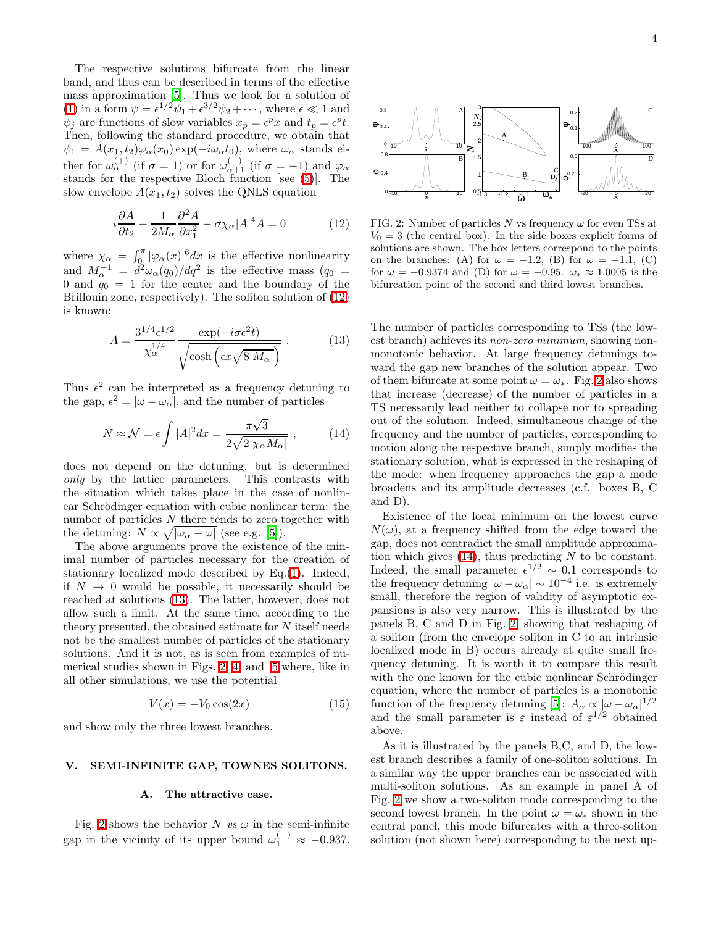The respective solutions bifurcate from the linear band, and thus can be described in terms of the effective mass approximation [\[5\]](#page-6-4). Thus we look for a solution of [\(1\)](#page-0-0) in a form  $\psi = \epsilon^{1/2}\psi_1 + \epsilon^{3/2}\psi_2 + \cdots$ , where  $\epsilon \ll 1$  and  $\psi_j$  are functions of slow variables  $x_p = e^p x$  and  $t_p = e^p t$ . Then, following the standard procedure, we obtain that  $\psi_1 = A(x_1, t_2) \varphi_\alpha(x_0) \exp(-i\omega_\alpha t_0)$ , where  $\omega_\alpha$  stands either for  $\omega_{\alpha}^{(+)}$  (if  $\sigma = 1$ ) or for  $\omega_{\alpha+1}^{(-)}$  (if  $\sigma = -1$ ) and  $\varphi_{\alpha}$ stands for the respective Bloch function [see [\(5\)](#page-1-2)]. The slow envelope  $A(x_1, t_2)$  solves the QNLS equation

$$
i\frac{\partial A}{\partial t_2} + \frac{1}{2M_\alpha} \frac{\partial^2 A}{\partial x_1^2} - \sigma \chi_\alpha |A|^4 A = 0 \tag{12}
$$

<span id="page-3-1"></span>where  $\chi_{\alpha} = \int_0^{\pi} |\varphi_{\alpha}(x)|^6 dx$  is the effective nonlinearity and  $M_{\alpha}^{-1} = d^2 \omega_{\alpha}(q_0)/dq^2$  is the effective mass  $(q_0 =$ 0 and  $q_0 = 1$  for the center and the boundary of the Brillouin zone, respectively). The soliton solution of [\(12\)](#page-3-1) is known:

$$
A = \frac{3^{1/4} \epsilon^{1/2}}{\chi_{\alpha}^{1/4}} \frac{\exp(-i\sigma \epsilon^2 t)}{\sqrt{\cosh\left(\epsilon x \sqrt{8|M_{\alpha}|}\right)}}.
$$
(13)

<span id="page-3-2"></span>Thus  $\epsilon^2$  can be interpreted as a frequency detuning to the gap,  $\epsilon^2 = |\omega - \omega_{\alpha}|$ , and the number of particles

$$
N \approx \mathcal{N} = \epsilon \int |A|^2 dx = \frac{\pi \sqrt{3}}{2\sqrt{2|\chi_{\alpha}M_{\alpha}|}} , \qquad (14)
$$

<span id="page-3-3"></span>does not depend on the detuning, but is determined only by the lattice parameters. This contrasts with the situation which takes place in the case of nonlinear Schrödinger equation with cubic nonlinear term: the number of particles  $N$  there tends to zero together with the detuning:  $N \propto \sqrt{|\omega_{\alpha} - \omega|}$  (see e.g. [\[5\]](#page-6-4)).

The above arguments prove the existence of the minimal number of particles necessary for the creation of stationary localized mode described by Eq.[\(1\)](#page-0-0). Indeed, if  $N \to 0$  would be possible, it necessarily should be reached at solutions [\(13\)](#page-3-2). The latter, however, does not allow such a limit. At the same time, according to the theory presented, the obtained estimate for N itself needs not be the smallest number of particles of the stationary solutions. And it is not, as is seen from examples of numerical studies shown in Figs. [2,](#page-3-0) [4,](#page-5-0) and [5](#page-5-1) where, like in all other simulations, we use the potential

$$
V(x) = -V_0 \cos(2x) \tag{15}
$$

<span id="page-3-4"></span>and show only the three lowest branches.

### V. SEMI-INFINITE GAP, TOWNES SOLITONS.

#### A. The attractive case.

Fig. [2](#page-3-0) shows the behavior N vs  $\omega$  in the semi-infinite gap in the vicinity of its upper bound  $\omega_1^{(-)} \approx -0.937$ .



<span id="page-3-0"></span>FIG. 2: Number of particles  $N$  vs frequency  $\omega$  for even TSs at  $V_0 = 3$  (the central box). In the side boxes explicit forms of solutions are shown. The box letters correspond to the points on the branches: (A) for  $\omega = -1.2$ , (B) for  $\omega = -1.1$ , (C) for  $\omega = -0.9374$  and (D) for  $\omega = -0.95$ .  $\omega_* \approx 1.0005$  is the bifurcation point of the second and third lowest branches.

The number of particles corresponding to TSs (the lowest branch) achieves its non-zero minimum, showing nonmonotonic behavior. At large frequency detunings toward the gap new branches of the solution appear. Two of them bifurcate at some point  $\omega = \omega_*$ . Fig. [2](#page-3-0) also shows that increase (decrease) of the number of particles in a TS necessarily lead neither to collapse nor to spreading out of the solution. Indeed, simultaneous change of the frequency and the number of particles, corresponding to motion along the respective branch, simply modifies the stationary solution, what is expressed in the reshaping of the mode: when frequency approaches the gap a mode broadens and its amplitude decreases (c.f. boxes B, C and D).

Existence of the local minimum on the lowest curve  $N(\omega)$ , at a frequency shifted from the edge toward the gap, does not contradict the small amplitude approximation which gives  $(14)$ , thus predicting N to be constant. Indeed, the small parameter  $\epsilon^{1/2} \sim 0.1$  corresponds to the frequency detuning  $|\omega - \omega_{\alpha}| \sim 10^{-4}$  i.e. is extremely small, therefore the region of validity of asymptotic expansions is also very narrow. This is illustrated by the panels B, C and D in Fig. [2,](#page-3-0) showing that reshaping of a soliton (from the envelope soliton in C to an intrinsic localized mode in B) occurs already at quite small frequency detuning. It is worth it to compare this result with the one known for the cubic nonlinear Schrödinger equation, where the number of particles is a monotonic function of the frequency detuning [\[5\]](#page-6-4):  $A_{\alpha} \propto |\omega - \omega_{\alpha}|^{1/2}$ and the small parameter is  $\varepsilon$  instead of  $\varepsilon^{1/2}$  obtained above.

As it is illustrated by the panels B,C, and D, the lowest branch describes a family of one-soliton solutions. In a similar way the upper branches can be associated with multi-soliton solutions. As an example in panel A of Fig. [2](#page-3-0) we show a two-soliton mode corresponding to the second lowest branch. In the point  $\omega = \omega_*$  shown in the central panel, this mode bifurcates with a three-soliton solution (not shown here) corresponding to the next up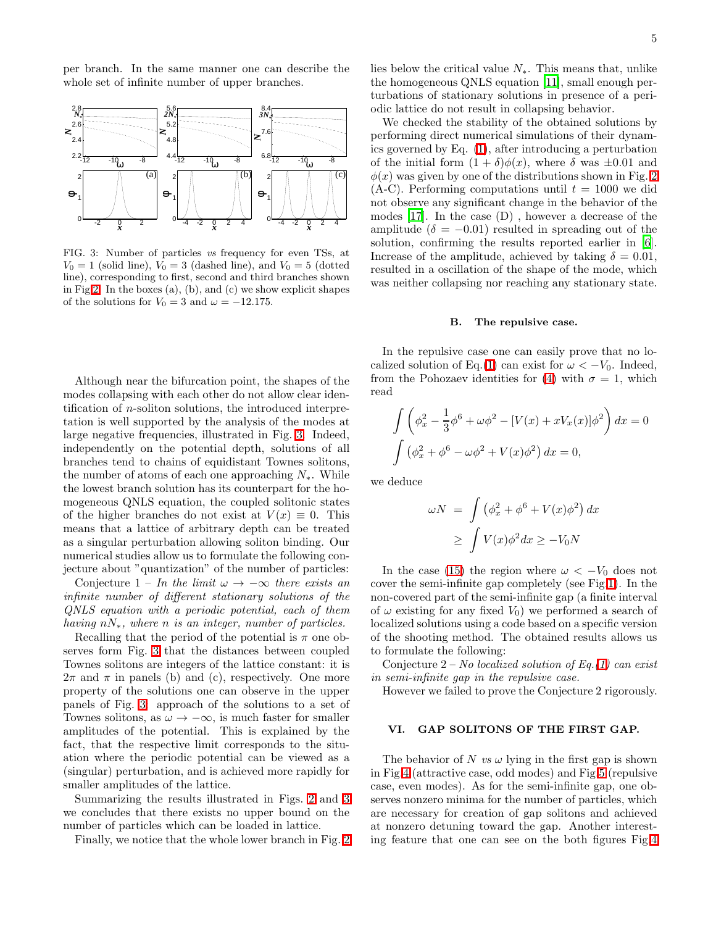per branch. In the same manner one can describe the whole set of infinite number of upper branches.



<span id="page-4-0"></span>FIG. 3: Number of particles *vs* frequency for even TSs, at  $V_0 = 1$  (solid line),  $V_0 = 3$  (dashed line), and  $V_0 = 5$  (dotted line), corresponding to first, second and third branches shown in Fig [2.](#page-3-0) In the boxes (a), (b), and (c) we show explicit shapes of the solutions for  $V_0 = 3$  and  $\omega = -12.175$ .

Although near the bifurcation point, the shapes of the modes collapsing with each other do not allow clear identification of n-soliton solutions, the introduced interpretation is well supported by the analysis of the modes at large negative frequencies, illustrated in Fig. [3.](#page-4-0) Indeed, independently on the potential depth, solutions of all branches tend to chains of equidistant Townes solitons, the number of atoms of each one approaching  $N_*$ . While the lowest branch solution has its counterpart for the homogeneous QNLS equation, the coupled solitonic states of the higher branches do not exist at  $V(x) \equiv 0$ . This means that a lattice of arbitrary depth can be treated as a singular perturbation allowing soliton binding. Our numerical studies allow us to formulate the following conjecture about "quantization" of the number of particles:

Conjecture 1 – In the limit  $\omega \to -\infty$  there exists an infinite number of different stationary solutions of the QNLS equation with a periodic potential, each of them having  $n_{\ast}$ , where n is an integer, number of particles.

Recalling that the period of the potential is  $\pi$  one observes form Fig. [3](#page-4-0) that the distances between coupled Townes solitons are integers of the lattice constant: it is  $2\pi$  and  $\pi$  in panels (b) and (c), respectively. One more property of the solutions one can observe in the upper panels of Fig. [3:](#page-4-0) approach of the solutions to a set of Townes solitons, as  $\omega \to -\infty$ , is much faster for smaller amplitudes of the potential. This is explained by the fact, that the respective limit corresponds to the situation where the periodic potential can be viewed as a (singular) perturbation, and is achieved more rapidly for smaller amplitudes of the lattice.

Summarizing the results illustrated in Figs. [2](#page-3-0) and [3](#page-4-0) we concludes that there exists no upper bound on the number of particles which can be loaded in lattice.

Finally, we notice that the whole lower branch in Fig. [2](#page-3-0)

lies below the critical value  $N_{*}$ . This means that, unlike the homogeneous QNLS equation [\[11\]](#page-6-12), small enough perturbations of stationary solutions in presence of a periodic lattice do not result in collapsing behavior.

We checked the stability of the obtained solutions by performing direct numerical simulations of their dynamics governed by Eq. [\(1\)](#page-0-0), after introducing a perturbation of the initial form  $(1 + \delta)\phi(x)$ , where  $\delta$  was  $\pm 0.01$  and  $\phi(x)$  was given by one of the distributions shown in Fig. [2](#page-3-0)  $(A-C)$ . Performing computations until  $t = 1000$  we did not observe any significant change in the behavior of the modes [\[17\]](#page-7-0). In the case (D) , however a decrease of the amplitude ( $\delta = -0.01$ ) resulted in spreading out of the solution, confirming the results reported earlier in [\[6\]](#page-6-5). Increase of the amplitude, achieved by taking  $\delta = 0.01$ , resulted in a oscillation of the shape of the mode, which was neither collapsing nor reaching any stationary state.

#### B. The repulsive case.

In the repulsive case one can easily prove that no lo-calized solution of Eq.[\(1\)](#page-0-0) can exist for  $\omega < -V_0$ . Indeed, from the Pohozaev identities for [\(4\)](#page-1-0) with  $\sigma = 1$ , which read

$$
\int \left( \phi_x^2 - \frac{1}{3} \phi^6 + \omega \phi^2 - [V(x) + xV_x(x)]\phi^2 \right) dx = 0
$$

$$
\int (\phi_x^2 + \phi^6 - \omega \phi^2 + V(x)\phi^2) dx = 0,
$$

we deduce

$$
\omega N = \int (\phi_x^2 + \phi^6 + V(x)\phi^2) dx
$$
  
 
$$
\geq \int V(x)\phi^2 dx \geq -V_0 N
$$

In the case [\(15\)](#page-3-4) the region where  $\omega < -V_0$  does not cover the semi-infinite gap completely (see Fig[.1\)](#page-1-3). In the non-covered part of the semi-infinite gap (a finite interval of  $\omega$  existing for any fixed  $V_0$ ) we performed a search of localized solutions using a code based on a specific version of the shooting method. The obtained results allows us to formulate the following:

Conjecture  $2$  – No localized solution of Eq.[\(1\)](#page-0-0) can exist in semi-infinite gap in the repulsive case.

However we failed to prove the Conjecture 2 rigorously.

## VI. GAP SOLITONS OF THE FIRST GAP.

The behavior of N vs  $\omega$  lying in the first gap is shown in Fig[.4](#page-5-0) (attractive case, odd modes) and Fig[.5](#page-5-1) (repulsive case, even modes). As for the semi-infinite gap, one observes nonzero minima for the number of particles, which are necessary for creation of gap solitons and achieved at nonzero detuning toward the gap. Another interesting feature that one can see on the both figures Fig[.4](#page-5-0)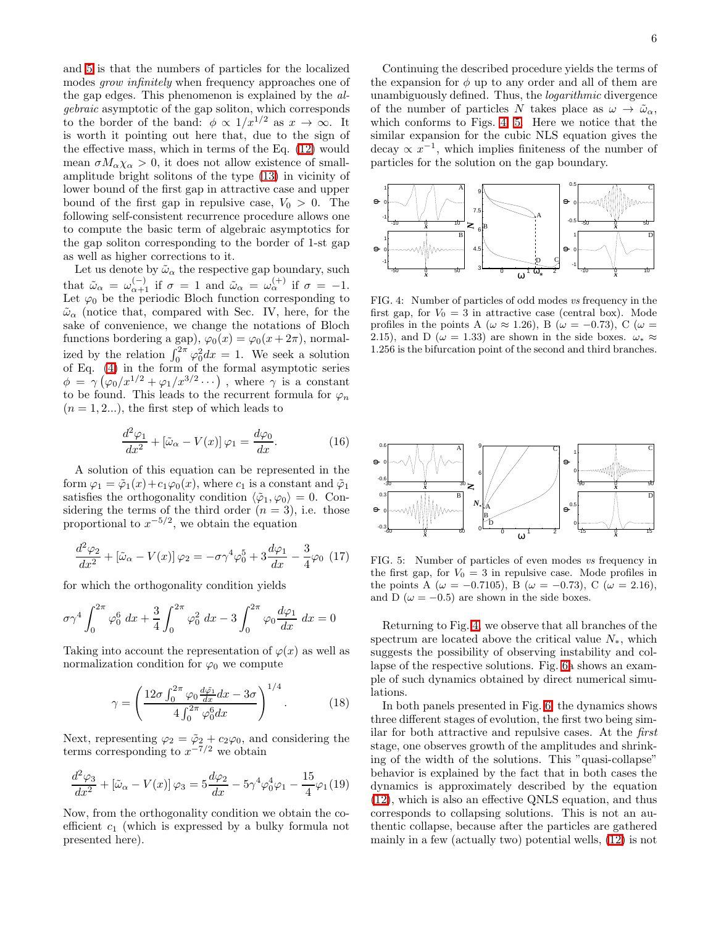and [5](#page-5-1) is that the numbers of particles for the localized modes grow infinitely when frequency approaches one of the gap edges. This phenomenon is explained by the algebraic asymptotic of the gap soliton, which corresponds to the border of the band:  $\phi \propto 1/x^{1/2}$  as  $x \to \infty$ . It is worth it pointing out here that, due to the sign of the effective mass, which in terms of the Eq. [\(12\)](#page-3-1) would mean  $\sigma M_{\alpha} \chi_{\alpha} > 0$ , it does not allow existence of smallamplitude bright solitons of the type [\(13\)](#page-3-2) in vicinity of lower bound of the first gap in attractive case and upper bound of the first gap in repulsive case,  $V_0 > 0$ . The following self-consistent recurrence procedure allows one to compute the basic term of algebraic asymptotics for the gap soliton corresponding to the border of 1-st gap as well as higher corrections to it.

Let us denote by  $\tilde{\omega}_\alpha$  the respective gap boundary, such that  $\tilde{\omega}_{\alpha} = \omega_{\alpha+1}^{(-)}$  if  $\sigma = 1$  and  $\tilde{\omega}_{\alpha} = \omega_{\alpha}^{(+)}$  if  $\sigma = -1$ . Let  $\varphi_0$  be the periodic Bloch function corresponding to  $\tilde{\omega}_{\alpha}$  (notice that, compared with Sec. IV, here, for the sake of convenience, we change the notations of Bloch functions bordering a gap),  $\varphi_0(x) = \varphi_0(x + 2\pi)$ , normalized by the relation  $\int_0^{2\pi} \varphi_0^2 dx = 1$ . We seek a solution of Eq. [\(4\)](#page-1-0) in the form of the formal asymptotic series  $\phi = \gamma (\varphi_0/x^{1/2} + \varphi_1/x^{3/2} \cdots)$ , where  $\gamma$  is a constant to be found. This leads to the recurrent formula for  $\varphi_n$  $(n = 1, 2...)$ , the first step of which leads to

$$
\frac{d^2\varphi_1}{dx^2} + [\tilde{\omega}_\alpha - V(x)]\,\varphi_1 = \frac{d\varphi_0}{dx}.\tag{16}
$$

A solution of this equation can be represented in the form  $\varphi_1 = \tilde{\varphi}_1(x) + c_1 \varphi_0(x)$ , where  $c_1$  is a constant and  $\tilde{\varphi}_1$ satisfies the orthogonality condition  $\langle \tilde{\varphi}_1, \varphi_0 \rangle = 0$ . Considering the terms of the third order  $(n = 3)$ , i.e. those proportional to  $x^{-5/2}$ , we obtain the equation

$$
\frac{d^2\varphi_2}{dx^2} + [\tilde{\omega}_\alpha - V(x)]\varphi_2 = -\sigma\gamma^4\varphi_0^5 + 3\frac{d\varphi_1}{dx} - \frac{3}{4}\varphi_0 \tag{17}
$$

for which the orthogonality condition yields

$$
\sigma \gamma^4 \int_0^{2\pi} \varphi_0^6 dx + \frac{3}{4} \int_0^{2\pi} \varphi_0^2 dx - 3 \int_0^{2\pi} \varphi_0 \frac{d\varphi_1}{dx} dx = 0
$$

Taking into account the representation of  $\varphi(x)$  as well as normalization condition for  $\varphi_0$  we compute

$$
\gamma = \left(\frac{12\sigma \int_0^{2\pi} \varphi_0 \frac{d\tilde{\varphi_1}}{dx} dx - 3\sigma}{4 \int_0^{2\pi} \varphi_0^6 dx}\right)^{1/4}.
$$
 (18)

Next, representing  $\varphi_2 = \tilde{\varphi}_2 + c_2 \varphi_0$ , and considering the terms corresponding to  $x^{-7/2}$  we obtain

$$
\frac{d^2\varphi_3}{dx^2} + [\tilde{\omega}_{\alpha} - V(x)]\varphi_3 = 5\frac{d\varphi_2}{dx} - 5\gamma^4\varphi_0^4\varphi_1 - \frac{15}{4}\varphi_1(19)
$$

Now, from the orthogonality condition we obtain the coefficient  $c_1$  (which is expressed by a bulky formula not presented here).

Continuing the described procedure yields the terms of the expansion for  $\phi$  up to any order and all of them are unambiguously defined. Thus, the logarithmic divergence of the number of particles N takes place as  $\omega \to \tilde{\omega}_{\alpha}$ , which conforms to Figs. [4,](#page-5-0) [5.](#page-5-1) Here we notice that the similar expansion for the cubic NLS equation gives the decay  $\propto x^{-1}$ , which implies finiteness of the number of particles for the solution on the gap boundary.



<span id="page-5-0"></span>FIG. 4: Number of particles of odd modes *vs* frequency in the first gap, for  $V_0 = 3$  in attractive case (central box). Mode profiles in the points A ( $\omega \approx 1.26$ ), B ( $\omega = -0.73$ ), C ( $\omega =$ 2.15), and D ( $\omega = 1.33$ ) are shown in the side boxes.  $\omega_* \approx$ 1.256 is the bifurcation point of the second and third branches.



<span id="page-5-1"></span>FIG. 5: Number of particles of even modes *vs* frequency in the first gap, for  $V_0 = 3$  in repulsive case. Mode profiles in the points A ( $\omega = -0.7105$ ), B ( $\omega = -0.73$ ), C ( $\omega = 2.16$ ), and D ( $\omega = -0.5$ ) are shown in the side boxes.

Returning to Fig. [4,](#page-5-0) we observe that all branches of the spectrum are located above the critical value  $N_*$ , which suggests the possibility of observing instability and collapse of the respective solutions. Fig. [6a](#page-6-15) shows an example of such dynamics obtained by direct numerical simulations.

In both panels presented in Fig. [6,](#page-6-15) the dynamics shows three different stages of evolution, the first two being similar for both attractive and repulsive cases. At the first stage, one observes growth of the amplitudes and shrinking of the width of the solutions. This "quasi-collapse" behavior is explained by the fact that in both cases the dynamics is approximately described by the equation [\(12\)](#page-3-1), which is also an effective QNLS equation, and thus corresponds to collapsing solutions. This is not an authentic collapse, because after the particles are gathered mainly in a few (actually two) potential wells, [\(12\)](#page-3-1) is not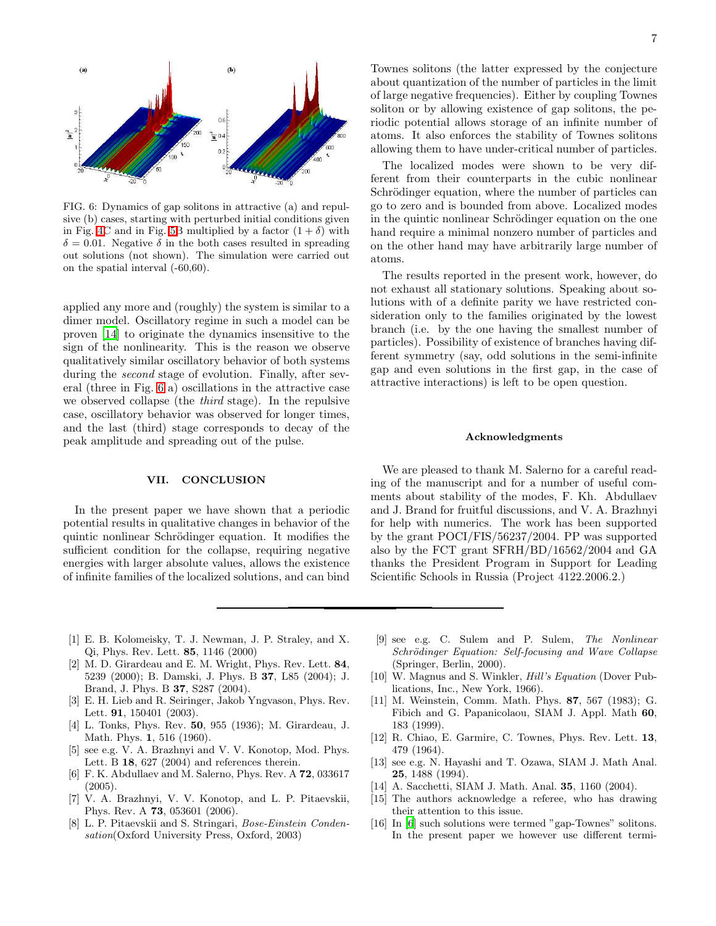

<span id="page-6-15"></span>FIG. 6: Dynamics of gap solitons in attractive (a) and repulsive (b) cases, starting with perturbed initial conditions given in Fig. [4C](#page-5-0) and in Fig. [5B](#page-5-1) multiplied by a factor  $(1 + \delta)$  with  $\delta = 0.01$ . Negative  $\delta$  in the both cases resulted in spreading out solutions (not shown). The simulation were carried out on the spatial interval (-60,60).

applied any more and (roughly) the system is similar to a dimer model. Oscillatory regime in such a model can be proven [\[14\]](#page-6-16) to originate the dynamics insensitive to the sign of the nonlinearity. This is the reason we observe qualitatively similar oscillatory behavior of both systems during the second stage of evolution. Finally, after several (three in Fig. [6](#page-6-15) a) oscillations in the attractive case we observed collapse (the third stage). In the repulsive case, oscillatory behavior was observed for longer times, and the last (third) stage corresponds to decay of the peak amplitude and spreading out of the pulse.

# VII. CONCLUSION

In the present paper we have shown that a periodic potential results in qualitative changes in behavior of the quintic nonlinear Schrödinger equation. It modifies the sufficient condition for the collapse, requiring negative energies with larger absolute values, allows the existence of infinite families of the localized solutions, and can bind

Townes solitons (the latter expressed by the conjecture about quantization of the number of particles in the limit of large negative frequencies). Either by coupling Townes soliton or by allowing existence of gap solitons, the periodic potential allows storage of an infinite number of atoms. It also enforces the stability of Townes solitons allowing them to have under-critical number of particles.

The localized modes were shown to be very different from their counterparts in the cubic nonlinear Schrödinger equation, where the number of particles can go to zero and is bounded from above. Localized modes in the quintic nonlinear Schrödinger equation on the one hand require a minimal nonzero number of particles and on the other hand may have arbitrarily large number of atoms.

The results reported in the present work, however, do not exhaust all stationary solutions. Speaking about solutions with of a definite parity we have restricted consideration only to the families originated by the lowest branch (i.e. by the one having the smallest number of particles). Possibility of existence of branches having different symmetry (say, odd solutions in the semi-infinite gap and even solutions in the first gap, in the case of attractive interactions) is left to be open question.

### Acknowledgments

We are pleased to thank M. Salerno for a careful reading of the manuscript and for a number of useful comments about stability of the modes, F. Kh. Abdullaev and J. Brand for fruitful discussions, and V. A. Brazhnyi for help with numerics. The work has been supported by the grant POCI/FIS/56237/2004. PP was supported also by the FCT grant SFRH/BD/16562/2004 and GA thanks the President Program in Support for Leading Scientific Schools in Russia (Project 4122.2006.2.)

- <span id="page-6-0"></span>[1] E. B. Kolomeisky, T. J. Newman, J. P. Straley, and X. Qi, Phys. Rev. Lett. 85, 1146 (2000)
- <span id="page-6-1"></span>[2] M. D. Girardeau and E. M. Wright, Phys. Rev. Lett. 84, 5239 (2000); B. Damski, J. Phys. B 37, L85 (2004); J. Brand, J. Phys. B 37, S287 (2004).
- <span id="page-6-2"></span>[3] E. H. Lieb and R. Seiringer, Jakob Yngvason, Phys. Rev. Lett. 91, 150401 (2003).
- <span id="page-6-3"></span>[4] L. Tonks, Phys. Rev. 50, 955 (1936); M. Girardeau, J. Math. Phys. 1, 516 (1960).
- <span id="page-6-4"></span>[5] see e.g. V. A. Brazhnyi and V. V. Konotop, Mod. Phys. Lett. B  $18, 627$  (2004) and references therein.
- <span id="page-6-5"></span>[6] F. K. Abdullaev and M. Salerno, Phys. Rev. A 72, 033617 (2005).
- <span id="page-6-7"></span>[7] V. A. Brazhnyi, V. V. Konotop, and L. P. Pitaevskii, Phys. Rev. A 73, 053601 (2006).
- <span id="page-6-8"></span>[8] L. P. Pitaevskii and S. Stringari, *Bose-Einstein Condensation*(Oxford University Press, Oxford, 2003)
- <span id="page-6-9"></span>[9] see e.g. C. Sulem and P. Sulem, *The Nonlinear Schrödinger Equation: Self-focusing and Wave Collapse* (Springer, Berlin, 2000).
- <span id="page-6-11"></span>[10] W. Magnus and S. Winkler, *Hill's Equation* (Dover Publications, Inc., New York, 1966).
- <span id="page-6-12"></span>[11] M. Weinstein, Comm. Math. Phys. 87, 567 (1983); G. Fibich and G. Papanicolaou, SIAM J. Appl. Math 60, 183 (1999).
- <span id="page-6-13"></span>[12] R. Chiao, E. Garmire, C. Townes, Phys. Rev. Lett. 13, 479 (1964).
- <span id="page-6-14"></span>[13] see e.g. N. Hayashi and T. Ozawa, SIAM J. Math Anal. 25, 1488 (1994).
- [14] A. Sacchetti, SIAM J. Math. Anal. **35**, 1160 (2004).
- <span id="page-6-16"></span><span id="page-6-6"></span>[15] The authors acknowledge a referee, who has drawing their attention to this issue.
- <span id="page-6-10"></span>[16] In [\[6\]](#page-6-5) such solutions were termed "gap-Townes" solitons. In the present paper we however use different termi-